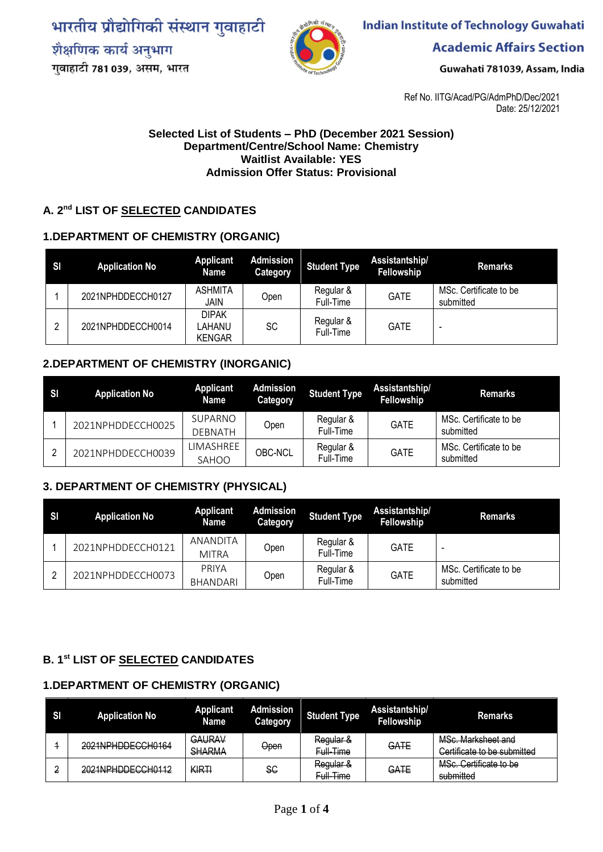भारतीय प्रौद्योगिकी संस्थान गुवाहाटी शैक्षणिक कार्य अनुभाग गुवाहाटी 781 039, असम, भारत



**Indian Institute of Technology Guwahati** 

**Academic Affairs Section** 

Guwahati 781039, Assam, India

Ref No. IITG/Acad/PG/AdmPhD/Dec/2021 Date: 25/12/2021

#### **Selected List of Students – PhD (December 2021 Session) Department/Centre/School Name: Chemistry Waitlist Available: YES Admission Offer Status: Provisional**

#### **A. 2 nd LIST OF SELECTED CANDIDATES**

#### **1.DEPARTMENT OF CHEMISTRY (ORGANIC)**

| S <sub>l</sub> | <b>Application No</b> | <b>Applicant</b><br>Name                | <b>Admission</b><br>Category | <b>Student Type</b>    | Assistantship/<br>Fellowship | <b>Remarks</b>                      |
|----------------|-----------------------|-----------------------------------------|------------------------------|------------------------|------------------------------|-------------------------------------|
|                | 2021NPHDDECCH0127     | <b>ASHMITA</b><br>JAIN                  | Open                         | Regular &<br>Full-Time | <b>GATE</b>                  | MSc. Certificate to be<br>submitted |
|                | 2021NPHDDECCH0014     | <b>DIPAK</b><br>_AHANU<br><b>KENGAR</b> | SC                           | Regular &<br>Full-Time | <b>GATE</b>                  | -                                   |

#### **2.DEPARTMENT OF CHEMISTRY (INORGANIC)**

| -SI | <b>Application No</b> | <b>Applicant</b><br><b>Name</b> | <b>Admission</b><br>Category | <b>Student Type</b>    | Assistantship/<br>Fellowship | <b>Remarks</b>                      |
|-----|-----------------------|---------------------------------|------------------------------|------------------------|------------------------------|-------------------------------------|
|     | 2021NPHDDECCH0025     | SUPARNO<br><b>DEBNATH</b>       | Open                         | Regular &<br>Full-Time | <b>GATE</b>                  | MSc. Certificate to be<br>submitted |
|     | 2021NPHDDECCH0039     | LIMASHREE<br>SAHOO              | OBC-NCL                      | Regular &<br>Full-Time | <b>GATE</b>                  | MSc. Certificate to be<br>submitted |

#### **3. DEPARTMENT OF CHEMISTRY (PHYSICAL)**

| -SI | <b>Application No</b> | <b>Applicant</b><br>Name        | <b>Admission</b><br><b>Category</b> | <b>Student Type</b>    | Assistantship/<br>Fellowship | <b>Remarks</b>                      |
|-----|-----------------------|---------------------------------|-------------------------------------|------------------------|------------------------------|-------------------------------------|
|     | 2021NPHDDECCH0121     | <b>ANANDITA</b><br><b>MITRA</b> | Open                                | Regular &<br>Full-Time | <b>GATE</b>                  | $\overline{\phantom{0}}$            |
|     | 2021NPHDDECCH0073     | PRIYA<br><b>BHANDARI</b>        | Open                                | Regular &<br>Full-Time | <b>GATE</b>                  | MSc. Certificate to be<br>submitted |

### **B. 1 st LIST OF SELECTED CANDIDATES**

#### **1.DEPARTMENT OF CHEMISTRY (ORGANIC)**

| <b>SI</b> | <b>Application No</b>                     | <b>Applicant</b><br><b>Name</b> | <b>Admission</b><br>Category | <b>Student Type</b>                   | Assistantship/<br>Fellowship | <b>Remarks</b>                                    |
|-----------|-------------------------------------------|---------------------------------|------------------------------|---------------------------------------|------------------------------|---------------------------------------------------|
|           | 2021NPHDDECCH0164                         | GAURAV<br><b>SHARMA</b>         | Open                         | <del>Regular &amp;</del><br>Full-Time | GATE                         | MSc. Marksheet and<br>Certificate to be submitted |
| ◠         | 2021NDHDDECCH0112<br>20211111100200110112 | KIRTI                           | SC                           | Regular &<br><del>Full Time</del>     | GATE                         | MSc. Certificate to be<br>submitted               |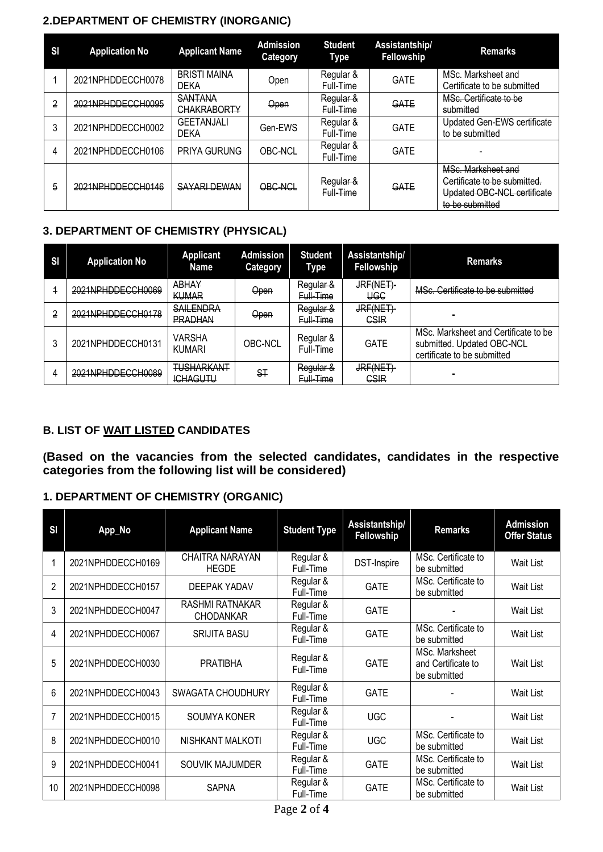## **2.DEPARTMENT OF CHEMISTRY (INORGANIC)**

| <b>SI</b> | <b>Application No</b> | <b>Applicant Name</b>                | <b>Admission</b><br><b>Category</b> | <b>Student</b><br>Type | Assistantship/<br>Fellowship | <b>Remarks</b>                                                                                       |
|-----------|-----------------------|--------------------------------------|-------------------------------------|------------------------|------------------------------|------------------------------------------------------------------------------------------------------|
|           | 2021NPHDDECCH0078     | <b>BRISTI MAINA</b><br><b>DEKA</b>   | Open                                | Regular &<br>Full-Time | GATE                         | MSc. Marksheet and<br>Certificate to be submitted                                                    |
| 2         | 2021NPHDDECCH0095     | <b>SANTANA</b><br><b>CHAKRABORTY</b> | Open                                | Regular &<br>Full-Time | GATE                         | MSc. Certificate to be<br>submitted                                                                  |
|           | 2021NPHDDECCH0002     | <b>GEETANJALI</b><br><b>DEKA</b>     | Gen-EWS                             | Regular &<br>Full-Time | <b>GATE</b>                  | Updated Gen-EWS certificate<br>to be submitted                                                       |
| 4         | 2021NPHDDECCH0106     | <b>PRIYA GURUNG</b>                  | <b>OBC-NCL</b>                      | Regular &<br>Full-Time | GATE                         |                                                                                                      |
| 5         | 2021NPHDDECCH0146     | <b>SAYARI DEWAN</b>                  | OBC-NCL                             | Regular &<br>Full-Time | GATE                         | MSc. Marksheet and<br>Certificate to be submitted.<br>Updated OBC-NCL certificate<br>to be submitted |

## **3. DEPARTMENT OF CHEMISTRY (PHYSICAL)**

| SI | <b>Application No</b> | <b>Applicant</b><br>Name             | <b>Admission</b><br>Category | <b>Student</b><br>Type | Assistantship/<br>Fellowship | <b>Remarks</b>                                                                                    |
|----|-----------------------|--------------------------------------|------------------------------|------------------------|------------------------------|---------------------------------------------------------------------------------------------------|
|    | 2021NPHDDECCH0069     | <b>ABHAY</b><br><b>KUMAR</b>         | Open                         | Regular &<br>Full-Time | JRF(NET)<br>UGC              | MSc. Certificate to be submitted                                                                  |
| 2  | 2021NPHDDECCH0178     | <b>SAILENDRA</b><br><b>PRADHAN</b>   | <b>Open</b>                  | Regular &<br>Full-Time | JRF(NET)<br><b>CSIR</b>      |                                                                                                   |
|    | 2021NPHDDECCH0131     | VARSHA<br><b>KUMARI</b>              | <b>OBC-NCL</b>               | Regular &<br>Full-Time | <b>GATE</b>                  | MSc. Marksheet and Certificate to be<br>submitted. Updated OBC-NCL<br>certificate to be submitted |
| 4  | 2021NPHDDECCH0089     | <b>TUSHARKANT</b><br><b>ICHAGUTU</b> | ST                           | Regular &<br>Full-Time | JRF(NET)<br><b>GSIR</b>      | $\sim$                                                                                            |

## **B. LIST OF WAIT LISTED CANDIDATES**

**(Based on the vacancies from the selected candidates, candidates in the respective categories from the following list will be considered)**

## **1. DEPARTMENT OF CHEMISTRY (ORGANIC)**

| S <sub>l</sub> | App_No            | <b>Applicant Name</b>                      | <b>Student Type</b>    | Assistantship/<br>Fellowship | <b>Remarks</b>                                       | <b>Admission</b><br><b>Offer Status</b> |
|----------------|-------------------|--------------------------------------------|------------------------|------------------------------|------------------------------------------------------|-----------------------------------------|
|                | 2021NPHDDECCH0169 | CHAITRA NARAYAN<br><b>HEGDE</b>            | Regular &<br>Full-Time | DST-Inspire                  | MSc. Certificate to<br>be submitted                  | Wait List                               |
| 2              | 2021NPHDDECCH0157 | <b>DEEPAK YADAV</b>                        | Regular &<br>Full-Time | <b>GATE</b>                  | MSc. Certificate to<br>be submitted                  | Wait List                               |
| 3              | 2021NPHDDECCH0047 | <b>RASHMI RATNAKAR</b><br><b>CHODANKAR</b> | Regular &<br>Full-Time | <b>GATE</b>                  |                                                      | Wait List                               |
| 4              | 2021NPHDDECCH0067 | <b>SRIJITA BASU</b>                        | Regular &<br>Full-Time | <b>GATE</b>                  | MSc. Certificate to<br>be submitted                  | Wait List                               |
| 5              | 2021NPHDDECCH0030 | <b>PRATIBHA</b>                            | Regular &<br>Full-Time | <b>GATE</b>                  | MSc. Marksheet<br>and Certificate to<br>be submitted | Wait List                               |
| 6              | 2021NPHDDECCH0043 | <b>SWAGATA CHOUDHURY</b>                   | Regular &<br>Full-Time | <b>GATE</b>                  |                                                      | Wait List                               |
|                | 2021NPHDDECCH0015 | SOUMYA KONER                               | Regular &<br>Full-Time | <b>UGC</b>                   |                                                      | Wait List                               |
| 8              | 2021NPHDDECCH0010 | NISHKANT MALKOTI                           | Regular &<br>Full-Time | <b>UGC</b>                   | MSc. Certificate to<br>be submitted                  | Wait List                               |
| 9              | 2021NPHDDECCH0041 | SOUVIK MAJUMDER                            | Regular &<br>Full-Time | <b>GATE</b>                  | MSc. Certificate to<br>be submitted                  | Wait List                               |
| 10             | 2021NPHDDECCH0098 | <b>SAPNA</b>                               | Regular &<br>Full-Time | <b>GATE</b>                  | MSc. Certificate to<br>be submitted                  | Wait List                               |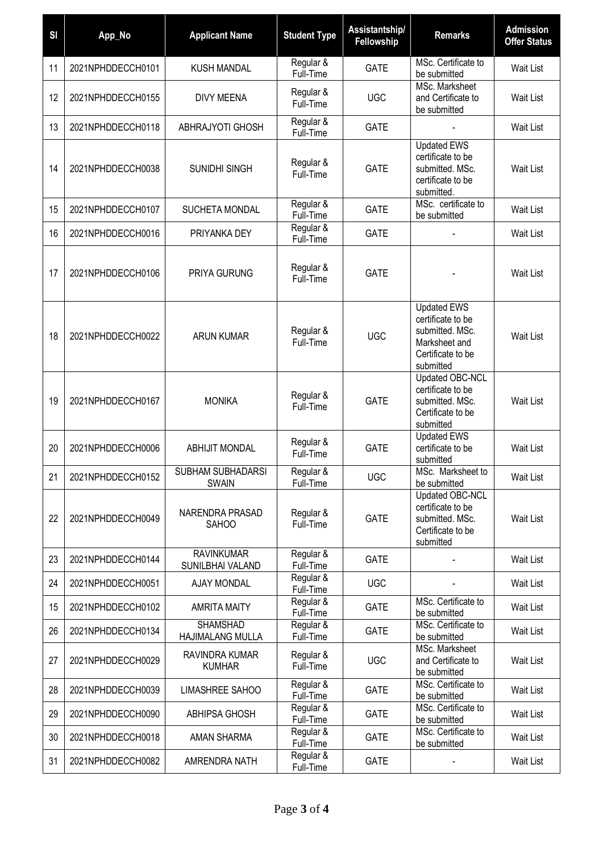| S <sub>1</sub> | App_No            | <b>Applicant Name</b>                 | <b>Student Type</b>    | Assistantship/<br>Fellowship | <b>Remarks</b>                                                                                                | <b>Admission</b><br><b>Offer Status</b> |
|----------------|-------------------|---------------------------------------|------------------------|------------------------------|---------------------------------------------------------------------------------------------------------------|-----------------------------------------|
| 11             | 2021NPHDDECCH0101 | <b>KUSH MANDAL</b>                    | Regular &<br>Full-Time | <b>GATE</b>                  | MSc. Certificate to<br>be submitted                                                                           | Wait List                               |
| 12             | 2021NPHDDECCH0155 | <b>DIVY MEENA</b>                     | Regular &<br>Full-Time | <b>UGC</b>                   | MSc. Marksheet<br>and Certificate to<br>be submitted                                                          | Wait List                               |
| 13             | 2021NPHDDECCH0118 | ABHRAJYOTI GHOSH                      | Regular &<br>Full-Time | <b>GATE</b>                  |                                                                                                               | Wait List                               |
| 14             | 2021NPHDDECCH0038 | SUNIDHI SINGH                         | Regular &<br>Full-Time | <b>GATE</b>                  | <b>Updated EWS</b><br>certificate to be<br>submitted. MSc.<br>certificate to be<br>submitted.                 | Wait List                               |
| 15             | 2021NPHDDECCH0107 | SUCHETA MONDAL                        | Regular &<br>Full-Time | <b>GATE</b>                  | MSc. certificate to<br>be submitted                                                                           | Wait List                               |
| 16             | 2021NPHDDECCH0016 | PRIYANKA DEY                          | Regular &<br>Full-Time | <b>GATE</b>                  |                                                                                                               | Wait List                               |
| 17             | 2021NPHDDECCH0106 | PRIYA GURUNG                          | Regular &<br>Full-Time | <b>GATE</b>                  |                                                                                                               | Wait List                               |
| 18             | 2021NPHDDECCH0022 | <b>ARUN KUMAR</b>                     | Regular &<br>Full-Time | <b>UGC</b>                   | <b>Updated EWS</b><br>certificate to be<br>submitted. MSc.<br>Marksheet and<br>Certificate to be<br>submitted | Wait List                               |
| 19             | 2021NPHDDECCH0167 | <b>MONIKA</b>                         | Regular &<br>Full-Time | <b>GATE</b>                  | Updated OBC-NCL<br>certificate to be<br>submitted. MSc.<br>Certificate to be<br>submitted                     | Wait List                               |
| 20             | 2021NPHDDECCH0006 | <b>ABHIJIT MONDAL</b>                 | Regular &<br>Full-Time | <b>GATE</b>                  | <b>Updated EWS</b><br>certificate to be<br>submitted                                                          | Wait List                               |
| 21             | 2021NPHDDECCH0152 | SUBHAM SUBHADARSI<br><b>SWAIN</b>     | Regular &<br>Full-Time | <b>UGC</b>                   | MSc. Marksheet to<br>be submitted                                                                             | Wait List                               |
| 22             | 2021NPHDDECCH0049 | NARENDRA PRASAD<br><b>SAHOO</b>       | Regular &<br>Full-Time | <b>GATE</b>                  | Updated OBC-NCL<br>certificate to be<br>submitted. MSc.<br>Certificate to be<br>submitted                     | Wait List                               |
| 23             | 2021NPHDDECCH0144 | <b>RAVINKUMAR</b><br>SUNILBHAI VALAND | Regular &<br>Full-Time | <b>GATE</b>                  |                                                                                                               | Wait List                               |
| 24             | 2021NPHDDECCH0051 | <b>AJAY MONDAL</b>                    | Regular &<br>Full-Time | <b>UGC</b>                   |                                                                                                               | Wait List                               |
| 15             | 2021NPHDDECCH0102 | <b>AMRITA MAITY</b>                   | Regular &<br>Full-Time | <b>GATE</b>                  | MSc. Certificate to<br>be submitted                                                                           | Wait List                               |
| 26             | 2021NPHDDECCH0134 | <b>SHAMSHAD</b><br>HAJIMALANG MULLA   | Regular &<br>Full-Time | <b>GATE</b>                  | MSc. Certificate to<br>be submitted                                                                           | Wait List                               |
| 27             | 2021NPHDDECCH0029 | RAVINDRA KUMAR<br><b>KUMHAR</b>       | Regular &<br>Full-Time | <b>UGC</b>                   | MSc. Marksheet<br>and Certificate to<br>be submitted                                                          | Wait List                               |
| 28             | 2021NPHDDECCH0039 | LIMASHREE SAHOO                       | Regular &<br>Full-Time | <b>GATE</b>                  | MSc. Certificate to<br>be submitted                                                                           | Wait List                               |
| 29             | 2021NPHDDECCH0090 | <b>ABHIPSA GHOSH</b>                  | Regular &<br>Full-Time | <b>GATE</b>                  | MSc. Certificate to<br>be submitted                                                                           | Wait List                               |
| 30             | 2021NPHDDECCH0018 | AMAN SHARMA                           | Regular &<br>Full-Time | <b>GATE</b>                  | MSc. Certificate to<br>be submitted                                                                           | Wait List                               |
| 31             | 2021NPHDDECCH0082 | AMRENDRA NATH                         | Regular &<br>Full-Time | <b>GATE</b>                  |                                                                                                               | Wait List                               |